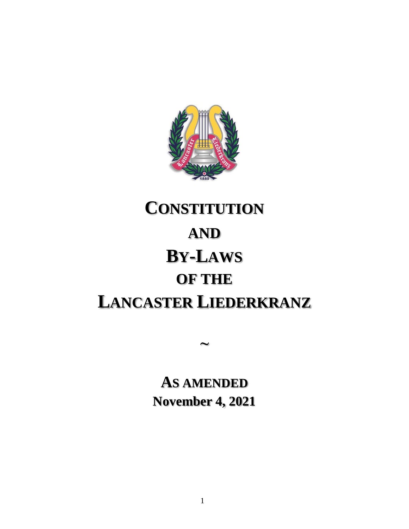

# **CONSTITUTION AND BY-LAWS OF THE LANCASTER LIEDERKRANZ**

**AS AMENDED November 4, 2021**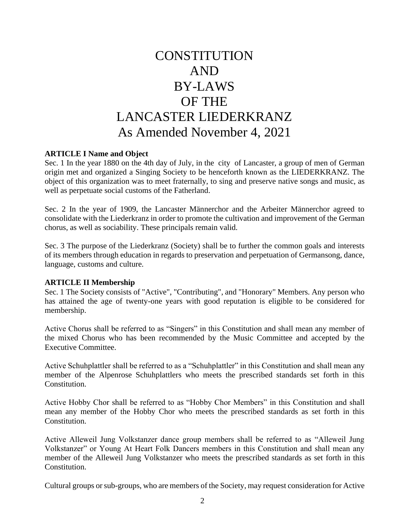## **CONSTITUTION** AND BY-LAWS OF THE LANCASTER LIEDERKRANZ As Amended November 4, 2021

#### **ARTICLE I Name and Object**

Sec. 1 In the year 1880 on the 4th day of July, in the city of Lancaster, a group of men of German origin met and organized a Singing Society to be henceforth known as the LIEDERKRANZ. The object of this organization was to meet fraternally, to sing and preserve native songs and music, as well as perpetuate social customs of the Fatherland.

Sec. 2 In the year of 1909, the Lancaster Männerchor and the Arbeiter Männerchor agreed to consolidate with the Liederkranz in order to promote the cultivation and improvement of the German chorus, as well as sociability. These principals remain valid.

Sec. 3 The purpose of the Liederkranz (Society) shall be to further the common goals and interests of its members through education in regards to preservation and perpetuation of Germansong, dance, language, customs and culture.

#### **ARTICLE II Membership**

Sec. 1 The Society consists of "Active", "Contributing", and "Honorary" Members. Any person who has attained the age of twenty-one years with good reputation is eligible to be considered for membership.

Active Chorus shall be referred to as "Singers" in this Constitution and shall mean any member of the mixed Chorus who has been recommended by the Music Committee and accepted by the Executive Committee.

Active Schuhplattler shall be referred to as a "Schuhplattler" in this Constitution and shall mean any member of the Alpenrose Schuhplattlers who meets the prescribed standards set forth in this Constitution.

Active Hobby Chor shall be referred to as "Hobby Chor Members" in this Constitution and shall mean any member of the Hobby Chor who meets the prescribed standards as set forth in this Constitution.

Active Alleweil Jung Volkstanzer dance group members shall be referred to as "Alleweil Jung Volkstanzer" or Young At Heart Folk Dancers members in this Constitution and shall mean any member of the Alleweil Jung Volkstanzer who meets the prescribed standards as set forth in this Constitution.

Cultural groups or sub-groups, who are members of the Society, may request consideration for Active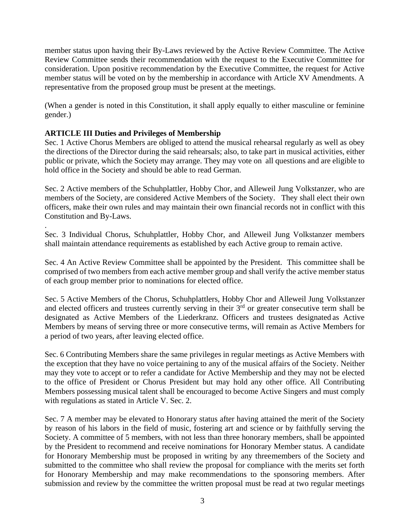member status upon having their By-Laws reviewed by the Active Review Committee. The Active Review Committee sends their recommendation with the request to the Executive Committee for consideration. Upon positive recommendation by the Executive Committee, the request for Active member status will be voted on by the membership in accordance with Article XV Amendments. A representative from the proposed group must be present at the meetings.

(When a gender is noted in this Constitution, it shall apply equally to either masculine or feminine gender.)

#### **ARTICLE III Duties and Privileges of Membership**

.

Sec. 1 Active Chorus Members are obliged to attend the musical rehearsal regularly as well as obey the directions of the Director during the said rehearsals; also, to take part in musical activities, either public or private, which the Society may arrange. They may vote on all questions and are eligible to hold office in the Society and should be able to read German.

Sec. 2 Active members of the Schuhplattler, Hobby Chor, and Alleweil Jung Volkstanzer, who are members of the Society, are considered Active Members of the Society. They shall elect their own officers, make their own rules and may maintain their own financial records not in conflict with this Constitution and By-Laws.

Sec. 3 Individual Chorus, Schuhplattler, Hobby Chor, and Alleweil Jung Volkstanzer members shall maintain attendance requirements as established by each Active group to remain active.

Sec. 4 An Active Review Committee shall be appointed by the President. This committee shall be comprised of two members from each active member group and shall verify the active member status of each group member prior to nominations for elected office.

Sec. 5 Active Members of the Chorus, Schuhplattlers, Hobby Chor and Alleweil Jung Volkstanzer and elected officers and trustees currently serving in their  $3<sup>rd</sup>$  or greater consecutive term shall be designated as Active Members of the Liederkranz. Officers and trustees designated as Active Members by means of serving three or more consecutive terms, will remain as Active Members for a period of two years, after leaving elected office.

Sec. 6 Contributing Members share the same privileges in regular meetings as Active Members with the exception that they have no voice pertaining to any of the musical affairs of the Society. Neither may they vote to accept or to refer a candidate for Active Membership and they may not be elected to the office of President or Chorus President but may hold any other office. All Contributing Members possessing musical talent shall be encouraged to become Active Singers and must comply with regulations as stated in Article V. Sec. 2.

Sec. 7 A member may be elevated to Honorary status after having attained the merit of the Society by reason of his labors in the field of music, fostering art and science or by faithfully serving the Society. A committee of 5 members, with not less than three honorary members, shall be appointed by the President to recommend and receive nominations for Honorary Member status. A candidate for Honorary Membership must be proposed in writing by any threemembers of the Society and submitted to the committee who shall review the proposal for compliance with the merits set forth for Honorary Membership and may make recommendations to the sponsoring members. After submission and review by the committee the written proposal must be read at two regular meetings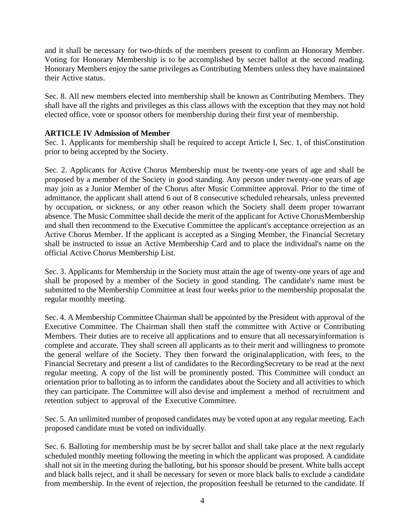and it shall be necessary for two-thirds of the members present to confirm an Honorary Member. Voting for Honorary Membership is to be accomplished by secret ballot at the second reading. Honorary Members enjoy the same privileges as Contributing Members unless they have maintained their Active status.

Sec. 8. All new members elected into membership shall be known as Contributing Members. They shall have all the rights and privileges as this class allows with the exception that they may not hold elected office, vote or sponsor others for membership during their first year of membership.

#### **ARTICLE IV Admission of Member**

Sec. 1. Applicants for membership shall be required to accept Article I, Sec. 1, of thisConstitution prior to being accepted by the Society.

Sec. 2. Applicants for Active Chorus Membership must be twenty-one years of age and shall be proposed by a member of the Society in good standing. Any person under twenty-one years of age may join as a Junior Member of the Chorus after Music Committee approval. Prior to the time of admittance, the applicant shall attend 6 out of 8 consecutive scheduled rehearsals, unless prevented by occupation, or sickness, or any other reason which the Society shall deem proper towarrant absence. The Music Committee shall decide the merit of the applicant for Active ChorusMembership and shall then recommend to the Executive Committee the applicant's acceptance orrejection as an Active Chorus Member. If the applicant is accepted as a Singing Member, the Financial Secretary shall be instructed to issue an Active Membership Card and to place the individual's name on the official Active Chorus Membership List.

Sec. 3. Applicants for Membership in the Society must attain the age of twenty-one years of age and shall be proposed by a member of the Society in good standing. The candidate's name must be submitted to the Membership Committee at least four weeks prior to the membership proposalat the regular monthly meeting.

Sec. 4. A Membership Committee Chairman shall be appointed by the President with approval of the Executive Committee. The Chairman shall then staff the committee with Active or Contributing Members. Their duties are to receive all applications and to ensure that all necessaryinformation is complete and accurate. They shall screen all applicants as to their merit and willingness to promote the general welfare of the Society. They then forward the originalapplication, with fees, to the Financial Secretary and present a list of candidates to the RecordingSecretary to be read at the next regular meeting. A copy of the list will be prominently posted. This Committee will conduct an orientation prior to balloting as to inform the candidates about the Society and all activities to which they can participate. The Committee will also devise and implement a method of recruitment and retention subject to approval of the Executive Committee.

Sec. 5. An unlimited number of proposed candidates may be voted upon at any regular meeting. Each proposed candidate must be voted on individually.

Sec. 6. Balloting for membership must be by secret ballot and shall take place at the next regularly scheduled monthly meeting following the meeting in which the applicant was proposed. A candidate shall not sit in the meeting during the balloting, but his sponsor should be present. White balls accept and black balls reject, and it shall be necessary for seven or more black balls to exclude a candidate from membership. In the event of rejection, the proposition feeshall be returned to the candidate. If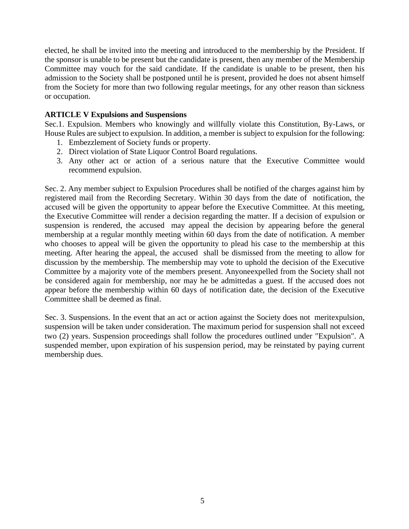elected, he shall be invited into the meeting and introduced to the membership by the President. If the sponsor is unable to be present but the candidate is present, then any member of the Membership Committee may vouch for the said candidate. If the candidate is unable to be present, then his admission to the Society shall be postponed until he is present, provided he does not absent himself from the Society for more than two following regular meetings, for any other reason than sickness or occupation.

#### **ARTICLE V Expulsions and Suspensions**

Sec.1. Expulsion. Members who knowingly and willfully violate this Constitution, By-Laws, or House Rules are subject to expulsion. In addition, a member is subject to expulsion for the following:

- 1. Embezzlement of Society funds or property.
- 2. Direct violation of State Liquor Control Board regulations.
- 3. Any other act or action of a serious nature that the Executive Committee would recommend expulsion.

Sec. 2. Any member subject to Expulsion Procedures shall be notified of the charges against him by registered mail from the Recording Secretary. Within 30 days from the date of notification, the accused will be given the opportunity to appear before the Executive Committee. At this meeting, the Executive Committee will render a decision regarding the matter. If a decision of expulsion or suspension is rendered, the accused may appeal the decision by appearing before the general membership at a regular monthly meeting within 60 days from the date of notification. A member who chooses to appeal will be given the opportunity to plead his case to the membership at this meeting. After hearing the appeal, the accused shall be dismissed from the meeting to allow for discussion by the membership. The membership may vote to uphold the decision of the Executive Committee by a majority vote of the members present. Anyoneexpelled from the Society shall not be considered again for membership, nor may he be admittedas a guest. If the accused does not appear before the membership within 60 days of notification date, the decision of the Executive Committee shall be deemed as final.

Sec. 3. Suspensions. In the event that an act or action against the Society does not meritexpulsion, suspension will be taken under consideration. The maximum period for suspension shall not exceed two (2) years. Suspension proceedings shall follow the procedures outlined under "Expulsion". A suspended member, upon expiration of his suspension period, may be reinstated by paying current membership dues.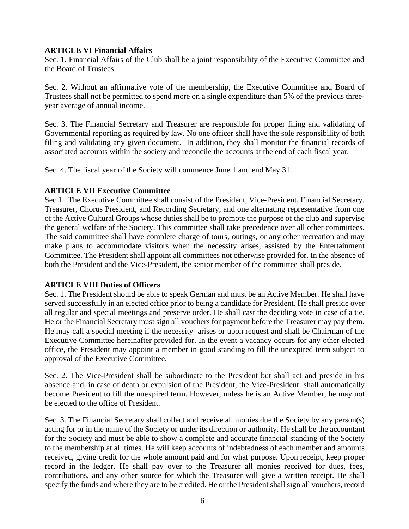#### **ARTICLE VI Financial Affairs**

Sec. 1. Financial Affairs of the Club shall be a joint responsibility of the Executive Committee and the Board of Trustees.

Sec. 2. Without an affirmative vote of the membership, the Executive Committee and Board of Trustees shall not be permitted to spend more on a single expenditure than 5% of the previous threeyear average of annual income.

Sec. 3. The Financial Secretary and Treasurer are responsible for proper filing and validating of Governmental reporting as required by law. No one officer shall have the sole responsibility of both filing and validating any given document. In addition, they shall monitor the financial records of associated accounts within the society and reconcile the accounts at the end of each fiscal year.

Sec. 4. The fiscal year of the Society will commence June 1 and end May 31.

#### **ARTICLE VII Executive Committee**

Sec 1. The Executive Committee shall consist of the President, Vice-President, Financial Secretary, Treasurer, Chorus President, and Recording Secretary, and one alternating representative from one of the Active Cultural Groups whose duties shall be to promote the purpose of the club and supervise the general welfare of the Society. This committee shall take precedence over all other committees. The said committee shall have complete charge of tours, outings, or any other recreation and may make plans to accommodate visitors when the necessity arises, assisted by the Entertainment Committee. The President shall appoint all committees not otherwise provided for. In the absence of both the President and the Vice-President, the senior member of the committee shall preside.

#### **ARTICLE VIII Duties of Officers**

Sec. 1. The President should be able to speak German and must be an Active Member. He shall have served successfully in an elected office prior to being a candidate for President. He shall preside over all regular and special meetings and preserve order. He shall cast the deciding vote in case of a tie. He or the Financial Secretary must sign all vouchers for payment before the Treasurer may pay them. He may call a special meeting if the necessity arises or upon request and shall be Chairman of the Executive Committee hereinafter provided for. In the event a vacancy occurs for any other elected office, the President may appoint a member in good standing to fill the unexpired term subject to approval of the Executive Committee.

Sec. 2. The Vice-President shall be subordinate to the President but shall act and preside in his absence and, in case of death or expulsion of the President, the Vice-President shall automatically become President to fill the unexpired term. However, unless he is an Active Member, he may not be elected to the office of President.

Sec. 3. The Financial Secretary shall collect and receive all monies due the Society by any person(s) acting for or in the name of the Society or under its direction or authority. He shall be the accountant for the Society and must be able to show a complete and accurate financial standing of the Society to the membership at all times. He will keep accounts of indebtedness of each member and amounts received, giving credit for the whole amount paid and for what purpose. Upon receipt, keep proper record in the ledger. He shall pay over to the Treasurer all monies received for dues, fees, contributions, and any other source for which the Treasurer will give a written receipt. He shall specify the funds and where they are to be credited. He or the President shall sign all vouchers, record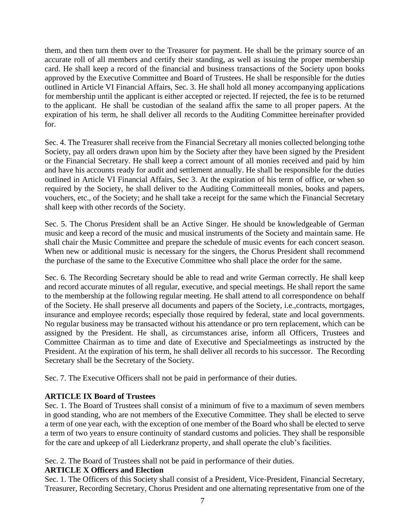them, and then turn them over to the Treasurer for payment. He shall be the primary source of an accurate roll of all members and certify their standing, as well as issuing the proper membership card. He shall keep a record of the financial and business transactions of the Society upon books approved by the Executive Committee and Board of Trustees. He shall be responsible for the duties outlined in Article VI Financial Affairs, Sec. 3. He shall hold all money accompanying applications for membership until the applicant is either accepted or rejected. If rejected, the fee is to be returned to the applicant. He shall be custodian of the sealand affix the same to all proper papers. At the expiration of his term, he shall deliver all records to the Auditing Committee hereinafter provided for.

Sec. 4. The Treasurer shall receive from the Financial Secretary all monies collected belonging tothe Society, pay all orders drawn upon him by the Society after they have been signed by the President or the Financial Secretary. He shall keep a correct amount of all monies received and paid by him and have his accounts ready for audit and settlement annually. He shall be responsible for the duties outlined in Article VI Financial Affairs, Sec 3. At the expiration of his term of office, or when so required by the Society, he shall deliver to the Auditing Committeeall monies, books and papers, vouchers, etc., of the Society; and he shall take a receipt for the same which the Financial Secretary shall keep with other records of the Society.

Sec. 5. The Chorus President shall be an Active Singer. He should be knowledgeable of German music and keep a record of the music and musical instruments of the Society and maintain same. He shall chair the Music Committee and prepare the schedule of music events for each concert season. When new or additional music is necessary for the singers, the Chorus President shall recommend the purchase of the same to the Executive Committee who shall place the order for the same.

Sec. 6. The Recording Secretary should be able to read and write German correctly. He shall keep and record accurate minutes of all regular, executive, and special meetings. He shall report the same to the membership at the following regular meeting. He shall attend to all correspondence on behalf of the Society. He shall preserve all documents and papers of the Society, i.e.,contracts, mortgages, insurance and employee records; especially those required by federal, state and local governments. No regular business may be transacted without his attendance or pro tern replacement, which can be assigned by the President. He shall, as circumstances arise, inform all Officers, Trustees and Committee Chairman as to time and date of Executive and Specialmeetings as instructed by the President. At the expiration of his term, he shall deliver all records to his successor. The Recording Secretary shall be the Secretary of the Society.

Sec. 7. The Executive Officers shall not be paid in performance of their duties.

#### **ARTICLE IX Board of Trustees**

Sec. 1. The Board of Trustees shall consist of a minimum of five to a maximum of seven members in good standing, who are not members of the Executive Committee. They shall be elected to serve a term of one year each, with the exception of one member of the Board who shall be elected to serve a term of two years to ensure continuity of standard customs and policies. They shall be responsible for the care and upkeep of all Liederkranz property, and shall operate the club's facilities.

Sec. 2. The Board of Trustees shall not be paid in performance of their duties.

#### **ARTICLE X Officers and Election**

Sec. 1. The Officers of this Society shall consist of a President, Vice-President, Financial Secretary, Treasurer, Recording Secretary, Chorus President and one alternating representative from one of the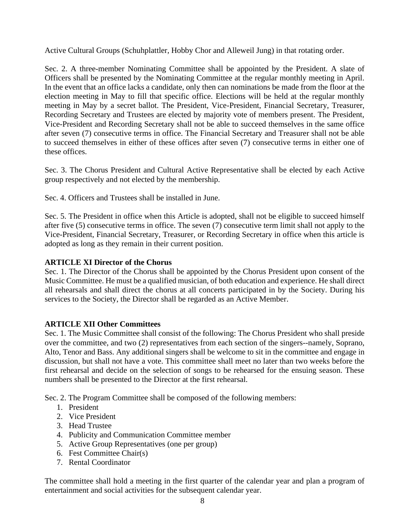Active Cultural Groups (Schuhplattler, Hobby Chor and Alleweil Jung) in that rotating order.

Sec. 2. A three-member Nominating Committee shall be appointed by the President. A slate of Officers shall be presented by the Nominating Committee at the regular monthly meeting in April. In the event that an office lacks a candidate, only then can nominations be made from the floor at the election meeting in May to fill that specific office. Elections will be held at the regular monthly meeting in May by a secret ballot. The President, Vice-President, Financial Secretary, Treasurer, Recording Secretary and Trustees are elected by majority vote of members present. The President, Vice-President and Recording Secretary shall not be able to succeed themselves in the same office after seven (7) consecutive terms in office. The Financial Secretary and Treasurer shall not be able to succeed themselves in either of these offices after seven (7) consecutive terms in either one of these offices.

Sec. 3. The Chorus President and Cultural Active Representative shall be elected by each Active group respectively and not elected by the membership.

Sec. 4. Officers and Trustees shall be installed in June.

Sec. 5. The President in office when this Article is adopted, shall not be eligible to succeed himself after five (5) consecutive terms in office. The seven (7) consecutive term limit shall not apply to the Vice-President, Financial Secretary, Treasurer, or Recording Secretary in office when this article is adopted as long as they remain in their current position.

#### **ARTICLE XI Director of the Chorus**

Sec. 1. The Director of the Chorus shall be appointed by the Chorus President upon consent of the Music Committee. He must be a qualified musician, of both education and experience. He shall direct all rehearsals and shall direct the chorus at all concerts participated in by the Society. During his services to the Society, the Director shall be regarded as an Active Member.

#### **ARTICLE XII Other Committees**

Sec. 1. The Music Committee shall consist of the following: The Chorus President who shall preside over the committee, and two (2) representatives from each section of the singers--namely, Soprano, Alto, Tenor and Bass. Any additional singers shall be welcome to sit in the committee and engage in discussion, but shall not have a vote. This committee shall meet no later than two weeks before the first rehearsal and decide on the selection of songs to be rehearsed for the ensuing season. These numbers shall be presented to the Director at the first rehearsal.

Sec. 2. The Program Committee shall be composed of the following members:

- 1. President
- 2. Vice President
- 3. Head Trustee
- 4. Publicity and Communication Committee member
- 5. Active Group Representatives (one per group)
- 6. Fest Committee Chair(s)
- 7. Rental Coordinator

The committee shall hold a meeting in the first quarter of the calendar year and plan a program of entertainment and social activities for the subsequent calendar year.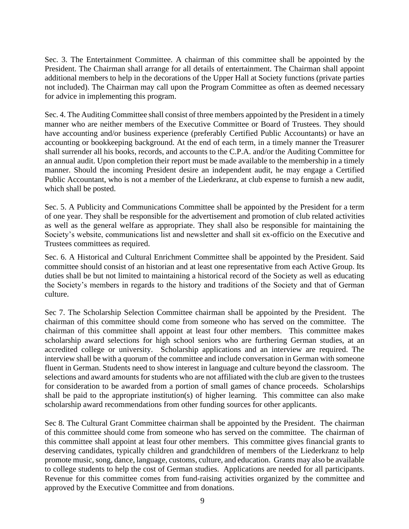Sec. 3. The Entertainment Committee. A chairman of this committee shall be appointed by the President. The Chairman shall arrange for all details of entertainment. The Chairman shall appoint additional members to help in the decorations of the Upper Hall at Society functions (private parties not included). The Chairman may call upon the Program Committee as often as deemed necessary for advice in implementing this program.

Sec. 4. The Auditing Committee shall consist of three members appointed by the President in a timely manner who are neither members of the Executive Committee or Board of Trustees. They should have accounting and/or business experience (preferably Certified Public Accountants) or have an accounting or bookkeeping background. At the end of each term, in a timely manner the Treasurer shall surrender all his books, records, and accounts to the C.P.A. and/or the Auditing Committee for an annual audit. Upon completion their report must be made available to the membership in a timely manner. Should the incoming President desire an independent audit, he may engage a Certified Public Accountant, who is not a member of the Liederkranz, at club expense to furnish a new audit, which shall be posted.

Sec. 5. A Publicity and Communications Committee shall be appointed by the President for a term of one year. They shall be responsible for the advertisement and promotion of club related activities as well as the general welfare as appropriate. They shall also be responsible for maintaining the Society's website, communications list and newsletter and shall sit ex-officio on the Executive and Trustees committees as required.

Sec. 6. A Historical and Cultural Enrichment Committee shall be appointed by the President. Said committee should consist of an historian and at least one representative from each Active Group. Its duties shall be but not limited to maintaining a historical record of the Society as well as educating the Society's members in regards to the history and traditions of the Society and that of German culture.

Sec 7. The Scholarship Selection Committee chairman shall be appointed by the President. The chairman of this committee should come from someone who has served on the committee. The chairman of this committee shall appoint at least four other members. This committee makes scholarship award selections for high school seniors who are furthering German studies, at an accredited college or university. Scholarship applications and an interview are required. The interview shall be with a quorum of the committee and include conversation in German with someone fluent in German. Students need to show interest in language and culture beyond the classroom. The selections and award amounts for students who are not affiliated with the club are given to the trustees for consideration to be awarded from a portion of small games of chance proceeds. Scholarships shall be paid to the appropriate institution(s) of higher learning. This committee can also make scholarship award recommendations from other funding sources for other applicants.

Sec 8. The Cultural Grant Committee chairman shall be appointed by the President. The chairman of this committee should come from someone who has served on the committee. The chairman of this committee shall appoint at least four other members. This committee gives financial grants to deserving candidates, typically children and grandchildren of members of the Liederkranz to help promote music, song, dance, language, customs, culture, and education. Grants may also be available to college students to help the cost of German studies. Applications are needed for all participants. Revenue for this committee comes from fund-raising activities organized by the committee and approved by the Executive Committee and from donations.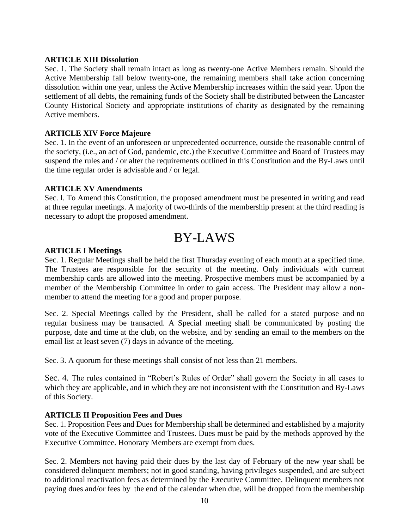#### **ARTICLE XIII Dissolution**

Sec. 1. The Society shall remain intact as long as twenty-one Active Members remain. Should the Active Membership fall below twenty-one, the remaining members shall take action concerning dissolution within one year, unless the Active Membership increases within the said year. Upon the settlement of all debts, the remaining funds of the Society shall be distributed between the Lancaster County Historical Society and appropriate institutions of charity as designated by the remaining Active members.

#### **ARTICLE XIV Force Majeure**

Sec. 1. In the event of an unforeseen or unprecedented occurrence, outside the reasonable control of the society, (i.e., an act of God, pandemic, etc.) the Executive Committee and Board of Trustees may suspend the rules and / or alter the requirements outlined in this Constitution and the By-Laws until the time regular order is advisable and / or legal.

#### **ARTICLE XV Amendments**

Sec. l. To Amend this Constitution, the proposed amendment must be presented in writing and read at three regular meetings. A majority of two-thirds of the membership present at the third reading is necessary to adopt the proposed amendment.

### BY-LAWS

#### **ARTICLE I Meetings**

Sec. 1. Regular Meetings shall be held the first Thursday evening of each month at a specified time. The Trustees are responsible for the security of the meeting. Only individuals with current membership cards are allowed into the meeting. Prospective members must be accompanied by a member of the Membership Committee in order to gain access. The President may allow a nonmember to attend the meeting for a good and proper purpose.

Sec. 2. Special Meetings called by the President, shall be called for a stated purpose and no regular business may be transacted. A Special meeting shall be communicated by posting the purpose, date and time at the club, on the website, and by sending an email to the members on the email list at least seven (7) days in advance of the meeting.

Sec. 3. A quorum for these meetings shall consist of not less than 21 members.

Sec. 4. The rules contained in "Robert's Rules of Order" shall govern the Society in all cases to which they are applicable, and in which they are not inconsistent with the Constitution and By-Laws of this Society.

#### **ARTICLE II Proposition Fees and Dues**

Sec. 1. Proposition Fees and Dues for Membership shall be determined and established by a majority vote of the Executive Committee and Trustees. Dues must be paid by the methods approved by the Executive Committee. Honorary Members are exempt from dues.

Sec. 2. Members not having paid their dues by the last day of February of the new year shall be considered delinquent members; not in good standing, having privileges suspended, and are subject to additional reactivation fees as determined by the Executive Committee. Delinquent members not paying dues and/or fees by the end of the calendar when due, will be dropped from the membership